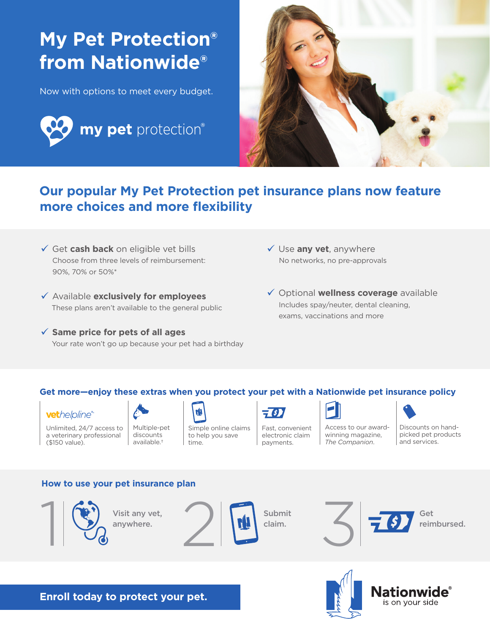# **My Pet Protection® from Nationwide®**

Now with options to meet every budget.





### **Our popular My Pet Protection pet insurance plans now feature more choices and more flexibility**

- Get **cash back** on eligible vet bills Choose from three levels of reimbursement: 90%, 70% or 50%\*
- Available **exclusively for employees** These plans aren't available to the general public
- **Same price for pets of all ages** Your rate won't go up because your pet had a birthday
- Use **any vet**, anywhere No networks, no pre-approvals
- Optional **wellness coverage** available Includes spay/neuter, dental cleaning, exams, vaccinations and more

#### **Get more—enjoy these extras when you protect your pet with a Nationwide pet insurance policy**



Unlimited, 24/7 access to a veterinary professional (\$150 value).



available.†

rL Simple online claims to help you save

time.

Fast, convenient electronic claim payments.



Access to our awardwinning magazine, *The Companion*.

Discounts on handpicked pet products and services.

#### **How to use your pet insurance plan**



Visit any vet,







**Enroll today to protect your pet.**